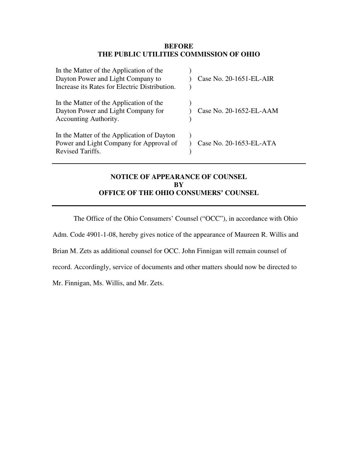#### **BEFORE THE PUBLIC UTILITIES COMMISSION OF OHIO**

| In the Matter of the Application of the<br>Dayton Power and Light Company to<br>Increase its Rates for Electric Distribution. | Case No. 20-1651-EL-AIR |
|-------------------------------------------------------------------------------------------------------------------------------|-------------------------|
| In the Matter of the Application of the<br>Dayton Power and Light Company for<br>Accounting Authority.                        | Case No. 20-1652-EL-AAM |
| In the Matter of the Application of Dayton<br>Power and Light Company for Approval of<br>Revised Tariffs.                     | Case No. 20-1653-EL-ATA |

### **NOTICE OF APPEARANCE OF COUNSEL BY OFFICE OF THE OHIO CONSUMERS' COUNSEL**

The Office of the Ohio Consumers' Counsel ("OCC"), in accordance with Ohio

Adm. Code 4901-1-08, hereby gives notice of the appearance of Maureen R. Willis and

Brian M. Zets as additional counsel for OCC. John Finnigan will remain counsel of

record. Accordingly, service of documents and other matters should now be directed to

Mr. Finnigan, Ms. Willis, and Mr. Zets.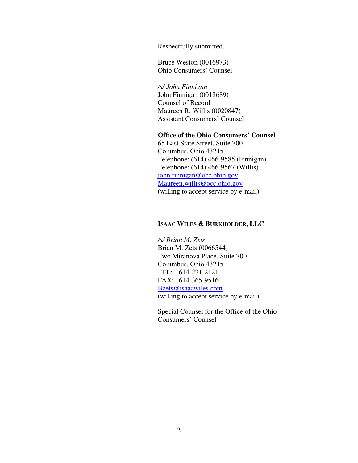Respectfully submitted,

Bruce Weston (0016973) Ohio Consumers' Counsel

*/s/ John Finnigan*  John Finnigan (0018689)

Counsel of Record Maureen R. Willis (0020847) Assistant Consumers' Counsel

#### **Office of the Ohio Consumers' Counsel**

65 East State Street, Suite 700 Columbus, Ohio 43215 Telephone: (614) 466-9585 (Finnigan) Telephone: (614) 466-9567 (Willis) john.finnigan@occ.ohio.gov Maureen.willis@occ.ohio.gov (willing to accept service by e-mail)

#### **ISAAC WILES & BURKHOLDER, LLC**

*/s/ Brian M. Zets*  Brian M. Zets (0066544) Two Miranova Place, Suite 700 Columbus, Ohio 43215 TEL: 614-221-2121 FAX: 614-365-9516 Bzets@isaacwiles.com (willing to accept service by e-mail)

Special Counsel for the Office of the Ohio Consumers' Counsel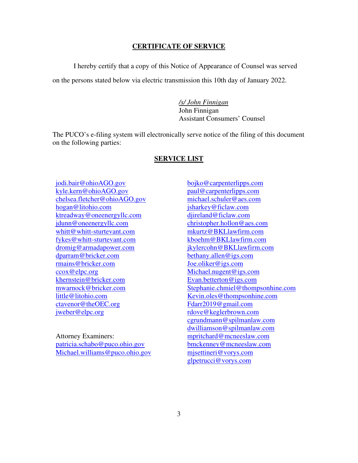#### **CERTIFICATE OF SERVICE**

I hereby certify that a copy of this Notice of Appearance of Counsel was served

on the persons stated below via electric transmission this 10th day of January 2022.

*/s/ John Finnigan*  John Finnigan Assistant Consumers' Counsel

The PUCO's e-filing system will electronically serve notice of the filing of this document on the following parties:

#### **SERVICE LIST**

jodi.bair@ohioAGO.gov kyle.kern@ohioAGO.gov chelsea.fletcher@ohioAGO.gov hogan@litohio.com ktreadway@oneenergyllc.com jdunn@oneenergyllc.com whitt@whitt-sturtevant.com fykes@whitt-sturtevant.com dromig@armadapower.com dparram@bricker.com rmains@bricker.com ccox@elpc.org khernstein@bricker.com mwarnock@bricker.com little@litohio.com ctavenor@theOEC.org jweber@elpc.org

Attorney Examiners: patricia.schabo@puco.ohio.gov Michael.williams@puco.ohio.gov

bojko@carpenterlipps.com paul@carpenterlipps.com michael.schuler@aes.com jsharkey@ficlaw.com djireland@ficlaw.com christopher.hollon@aes.com mkurtz@BKLlawfirm.com kboehm@BKLlawfirm.com jkylercohn@BKLlawfirm.com bethany.allen@igs.com Joe.oliker@igs.com Michael.nugent@igs.com Evan.betterton@igs.com Stephanie.chmiel@thompsonhine.com Kevin.oles@thompsonhine.com Fdarr2019@gmail.com rdove@keglerbrown.com cgrundmann@spilmanlaw.com dwilliamson@spilmanlaw.com mpritchard@mcneeslaw.com bmckenney@mcneeslaw.com mjsettineri@vorys.com glpetrucci@vorys.com